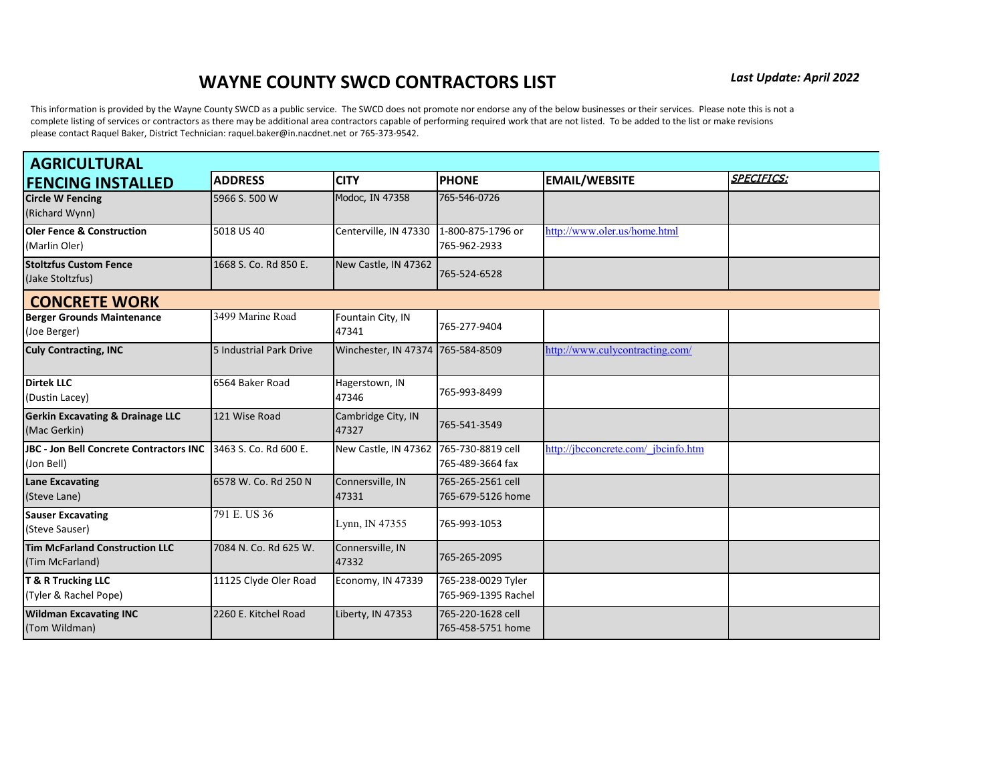This information is provided by the Wayne County SWCD as a public service. The SWCD does not promote nor endorse any of the below businesses or their services. Please note this is not a complete listing of services or contractors as there may be additional area contractors capable of performing required work that are not listed. To be added to the list or make revisions please contact Raquel Baker, District Technician: raquel.baker@in.nacdnet.net or 765-373-9542.

| <b>AGRICULTURAL</b>                                         |                         |                                        |                                           |                                     |                   |  |
|-------------------------------------------------------------|-------------------------|----------------------------------------|-------------------------------------------|-------------------------------------|-------------------|--|
| <b>FENCING INSTALLED</b>                                    | <b>ADDRESS</b>          | <b>CITY</b>                            | <b>PHONE</b>                              | <b>EMAIL/WEBSITE</b>                | <b>SPECIFICS:</b> |  |
| <b>Circle W Fencing</b><br>(Richard Wynn)                   | 5966 S. 500 W           | Modoc, IN 47358                        | 765-546-0726                              |                                     |                   |  |
| <b>Oler Fence &amp; Construction</b><br>(Marlin Oler)       | 5018 US 40              | Centerville, IN 47330                  | 1-800-875-1796 or<br>765-962-2933         | http://www.oler.us/home.html        |                   |  |
| <b>Stoltzfus Custom Fence</b><br>(Jake Stoltzfus)           | 1668 S. Co. Rd 850 E.   | New Castle, IN 47362                   | 765-524-6528                              |                                     |                   |  |
| <b>CONCRETE WORK</b>                                        |                         |                                        |                                           |                                     |                   |  |
| <b>Berger Grounds Maintenance</b><br>(Joe Berger)           | 3499 Marine Road        | Fountain City, IN<br>47341             | 765-277-9404                              |                                     |                   |  |
| <b>Culy Contracting, INC</b>                                | 5 Industrial Park Drive | Winchester, IN 47374 765-584-8509      |                                           | http://www.culycontracting.com/     |                   |  |
| <b>Dirtek LLC</b><br>(Dustin Lacey)                         | 6564 Baker Road         | Hagerstown, IN<br>47346                | 765-993-8499                              |                                     |                   |  |
| <b>Gerkin Excavating &amp; Drainage LLC</b><br>(Mac Gerkin) | 121 Wise Road           | Cambridge City, IN<br>47327            | 765-541-3549                              |                                     |                   |  |
| JBC - Jon Bell Concrete Contractors INC<br>(Jon Bell)       | 3463 S. Co. Rd 600 E.   | New Castle, IN 47362 765-730-8819 cell | 765-489-3664 fax                          | http://jbcconcrete.com/ jbcinfo.htm |                   |  |
| <b>Lane Excavating</b><br>(Steve Lane)                      | 6578 W. Co. Rd 250 N    | Connersville, IN<br>47331              | 765-265-2561 cell<br>765-679-5126 home    |                                     |                   |  |
| <b>Sauser Excavating</b><br>(Steve Sauser)                  | 791 E. US 36            | Lynn, IN 47355                         | 765-993-1053                              |                                     |                   |  |
| <b>Tim McFarland Construction LLC</b><br>(Tim McFarland)    | 7084 N. Co. Rd 625 W.   | Connersville, IN<br>47332              | 765-265-2095                              |                                     |                   |  |
| <b>T &amp; R Trucking LLC</b><br>(Tyler & Rachel Pope)      | 11125 Clyde Oler Road   | Economy, IN 47339                      | 765-238-0029 Tyler<br>765-969-1395 Rachel |                                     |                   |  |
| <b>Wildman Excavating INC</b><br>(Tom Wildman)              | 2260 E. Kitchel Road    | Liberty, IN 47353                      | 765-220-1628 cell<br>765-458-5751 home    |                                     |                   |  |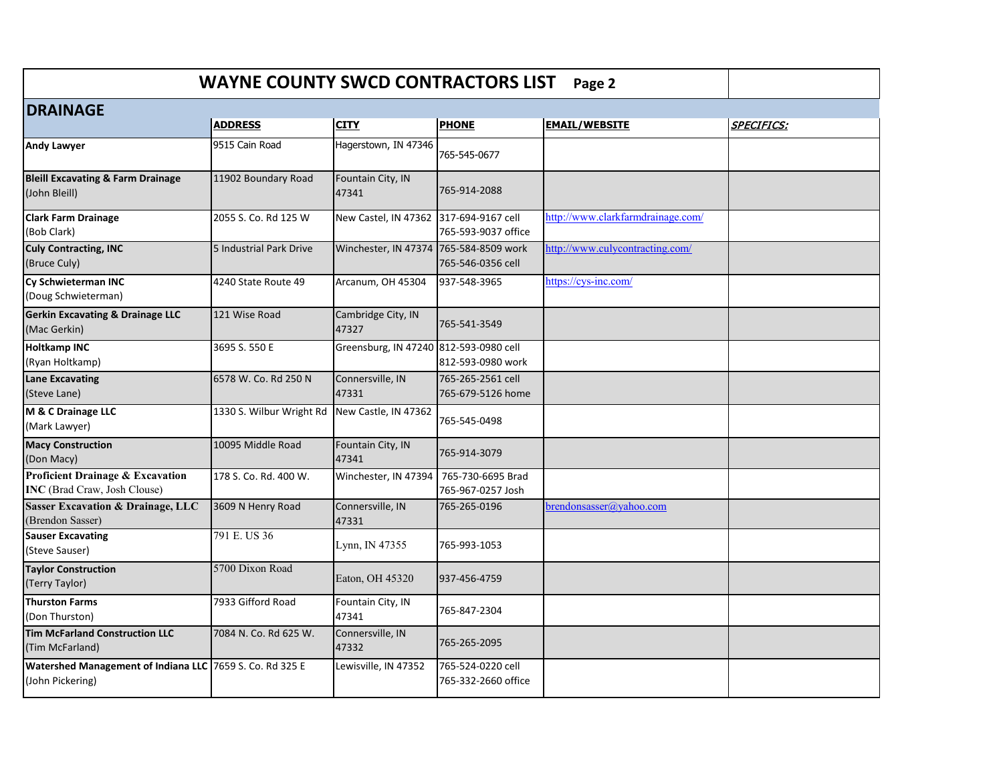|                                                                                    | <b>WAYNE COUNTY SWCD CONTRACTORS LIST</b> |                                        |                                          | Page 2                            |                   |
|------------------------------------------------------------------------------------|-------------------------------------------|----------------------------------------|------------------------------------------|-----------------------------------|-------------------|
| <b>DRAINAGE</b>                                                                    |                                           |                                        |                                          |                                   |                   |
|                                                                                    | <b>ADDRESS</b>                            | <b>CITY</b>                            | <b>PHONE</b>                             | <b>EMAIL/WEBSITE</b>              | <b>SPECIFICS:</b> |
| <b>Andy Lawyer</b>                                                                 | 9515 Cain Road                            | Hagerstown, IN 47346                   | 765-545-0677                             |                                   |                   |
| <b>Bleill Excavating &amp; Farm Drainage</b><br>(John Bleill)                      | 11902 Boundary Road                       | Fountain City, IN<br>47341             | 765-914-2088                             |                                   |                   |
| <b>Clark Farm Drainage</b><br>(Bob Clark)                                          | 2055 S. Co. Rd 125 W                      | New Castel, IN 47362 317-694-9167 cell | 765-593-9037 office                      | http://www.clarkfarmdrainage.com/ |                   |
| <b>Culy Contracting, INC</b><br>(Bruce Culy)                                       | 5 Industrial Park Drive                   | Winchester, IN 47374 765-584-8509 work | 765-546-0356 cell                        | http://www.culycontracting.com/   |                   |
| Cy Schwieterman INC<br>(Doug Schwieterman)                                         | 4240 State Route 49                       | Arcanum, OH 45304                      | 937-548-3965                             | https://cys-inc.com/              |                   |
| <b>Gerkin Excavating &amp; Drainage LLC</b><br>(Mac Gerkin)                        | 121 Wise Road                             | Cambridge City, IN<br>47327            | 765-541-3549                             |                                   |                   |
| <b>Holtkamp INC</b><br>(Ryan Holtkamp)                                             | 3695 S. 550 E                             | Greensburg, IN 47240 812-593-0980 cell | 812-593-0980 work                        |                                   |                   |
| <b>Lane Excavating</b><br>(Steve Lane)                                             | 6578 W. Co. Rd 250 N                      | Connersville, IN<br>47331              | 765-265-2561 cell<br>765-679-5126 home   |                                   |                   |
| M & C Drainage LLC<br>(Mark Lawyer)                                                | 1330 S. Wilbur Wright Rd                  | New Castle, IN 47362                   | 765-545-0498                             |                                   |                   |
| <b>Macy Construction</b><br>(Don Macy)                                             | 10095 Middle Road                         | Fountain City, IN<br>47341             | 765-914-3079                             |                                   |                   |
| <b>Proficient Drainage &amp; Excavation</b><br><b>INC</b> (Brad Craw, Josh Clouse) | 178 S. Co. Rd. 400 W.                     | Winchester, IN 47394                   | 765-730-6695 Brad<br>765-967-0257 Josh   |                                   |                   |
| <b>Sasser Excavation &amp; Drainage, LLC</b><br>(Brendon Sasser)                   | 3609 N Henry Road                         | Connersville, IN<br>47331              | 765-265-0196                             | brendonsasser@yahoo.com           |                   |
| <b>Sauser Excavating</b><br>(Steve Sauser)                                         | 791 E. US 36                              | Lynn, IN $47355$                       | 765-993-1053                             |                                   |                   |
| <b>Taylor Construction</b><br>(Terry Taylor)                                       | 5700 Dixon Road                           | Eaton, OH 45320                        | 937-456-4759                             |                                   |                   |
| <b>Thurston Farms</b><br>(Don Thurston)                                            | 7933 Gifford Road                         | Fountain City, IN<br>47341             | 765-847-2304                             |                                   |                   |
| <b>Tim McFarland Construction LLC</b><br>(Tim McFarland)                           | 7084 N. Co. Rd 625 W.                     | Connersville, IN<br>47332              | 765-265-2095                             |                                   |                   |
| Watershed Management of Indiana LLC 7659 S. Co. Rd 325 E<br>(John Pickering)       |                                           | Lewisville, IN 47352                   | 765-524-0220 cell<br>765-332-2660 office |                                   |                   |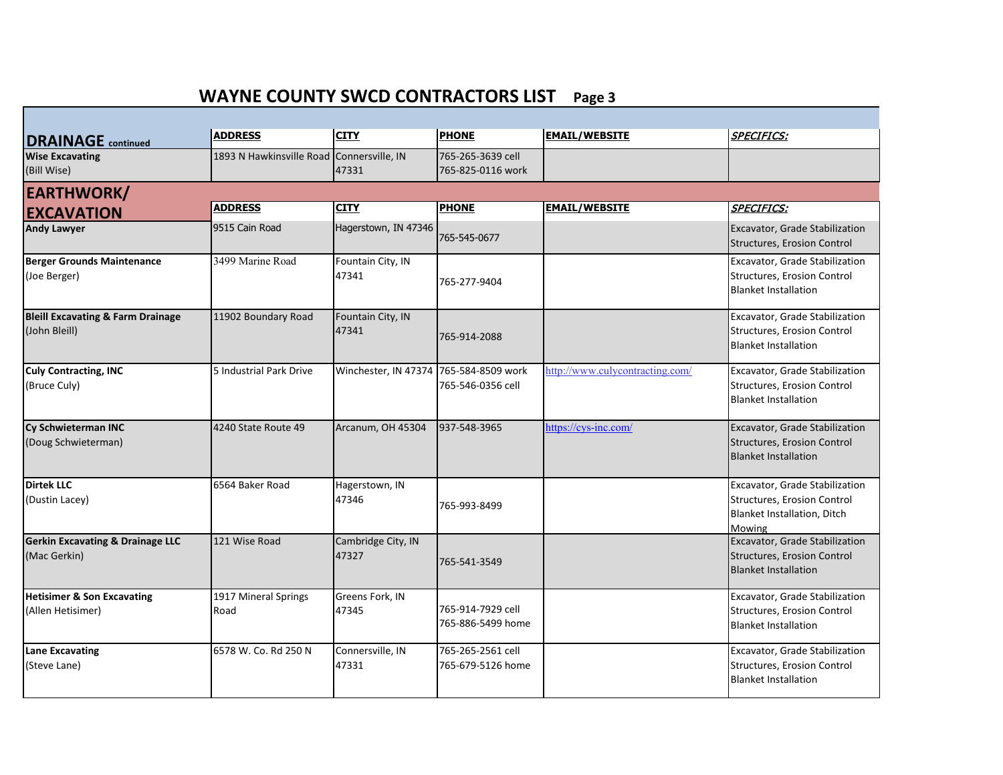| <b>DRAINAGE</b> continued                                     | <b>ADDRESS</b>                            | <b>CITY</b>                            | <b>PHONE</b>                           | <b>EMAIL/WEBSITE</b>            | <b>SPECIFICS:</b>                                                                                      |
|---------------------------------------------------------------|-------------------------------------------|----------------------------------------|----------------------------------------|---------------------------------|--------------------------------------------------------------------------------------------------------|
| <b>Wise Excavating</b><br>(Bill Wise)                         | 1893 N Hawkinsville Road Connersville, IN | 47331                                  | 765-265-3639 cell<br>765-825-0116 work |                                 |                                                                                                        |
| <b>EARTHWORK/</b>                                             |                                           |                                        |                                        |                                 |                                                                                                        |
| <b>EXCAVATION</b>                                             | <b>ADDRESS</b>                            | <b>CITY</b>                            | <b>PHONE</b>                           | <b>EMAIL/WEBSITE</b>            | <b>SPECIFICS:</b>                                                                                      |
| <b>Andy Lawyer</b>                                            | 9515 Cain Road                            | Hagerstown, IN 47346                   | 765-545-0677                           |                                 | Excavator, Grade Stabilization<br>Structures, Erosion Control                                          |
| <b>Berger Grounds Maintenance</b><br>(Joe Berger)             | 3499 Marine Road                          | Fountain City, IN<br>47341             | 765-277-9404                           |                                 | Excavator, Grade Stabilization<br>Structures, Erosion Control<br><b>Blanket Installation</b>           |
| <b>Bleill Excavating &amp; Farm Drainage</b><br>(John Bleill) | 11902 Boundary Road                       | Fountain City, IN<br>47341             | 765-914-2088                           |                                 | Excavator, Grade Stabilization<br>Structures, Erosion Control<br><b>Blanket Installation</b>           |
| <b>Culy Contracting, INC</b><br>(Bruce Culy)                  | 5 Industrial Park Drive                   | Winchester, IN 47374 765-584-8509 work | 765-546-0356 cell                      | http://www.culycontracting.com/ | Excavator, Grade Stabilization<br>Structures, Erosion Control<br><b>Blanket Installation</b>           |
| Cy Schwieterman INC<br>(Doug Schwieterman)                    | 4240 State Route 49                       | Arcanum, OH 45304                      | 937-548-3965                           | https://cys-inc.com/            | Excavator, Grade Stabilization<br>Structures, Erosion Control<br><b>Blanket Installation</b>           |
| <b>Dirtek LLC</b><br>(Dustin Lacey)                           | 6564 Baker Road                           | Hagerstown, IN<br>47346                | 765-993-8499                           |                                 | Excavator, Grade Stabilization<br>Structures, Erosion Control<br>Blanket Installation, Ditch<br>Mowing |
| <b>Gerkin Excavating &amp; Drainage LLC</b><br>(Mac Gerkin)   | 121 Wise Road                             | Cambridge City, IN<br>47327            | 765-541-3549                           |                                 | Excavator, Grade Stabilization<br>Structures, Erosion Control<br><b>Blanket Installation</b>           |
| <b>Hetisimer &amp; Son Excavating</b><br>(Allen Hetisimer)    | 1917 Mineral Springs<br>Road              | Greens Fork, IN<br>47345               | 765-914-7929 cell<br>765-886-5499 home |                                 | Excavator, Grade Stabilization<br>Structures, Erosion Control<br><b>Blanket Installation</b>           |
| <b>Lane Excavating</b><br>(Steve Lane)                        | 6578 W. Co. Rd 250 N                      | Connersville, IN<br>47331              | 765-265-2561 cell<br>765-679-5126 home |                                 | Excavator, Grade Stabilization<br>Structures, Erosion Control<br><b>Blanket Installation</b>           |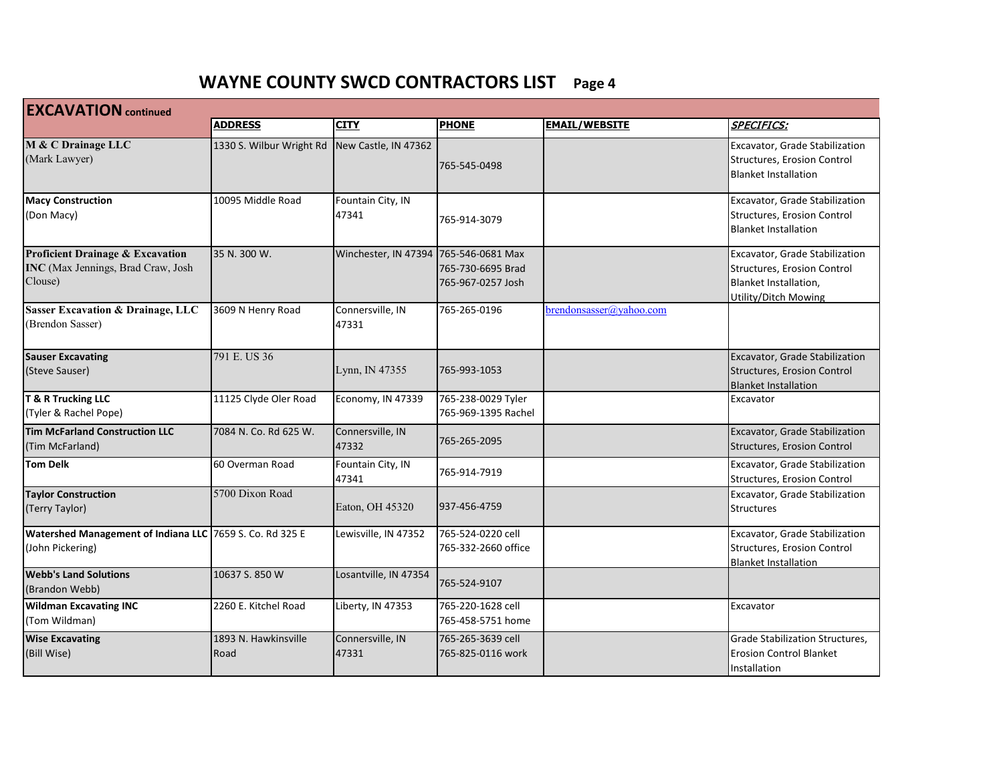| <b>EXCAVATION</b> continued                                                                  |                              |                                       |                                           |                         |                                                                                                                |  |
|----------------------------------------------------------------------------------------------|------------------------------|---------------------------------------|-------------------------------------------|-------------------------|----------------------------------------------------------------------------------------------------------------|--|
|                                                                                              | <b>ADDRESS</b>               | <b>CITY</b>                           | <b>PHONE</b>                              | <b>EMAIL/WEBSITE</b>    | <b>SPECIFICS:</b>                                                                                              |  |
| M & C Drainage LLC<br>(Mark Lawyer)                                                          | 1330 S. Wilbur Wright Rd     | New Castle, IN 47362                  | 765-545-0498                              |                         | Excavator, Grade Stabilization<br>Structures, Erosion Control<br><b>Blanket Installation</b>                   |  |
| <b>Macy Construction</b><br>(Don Macy)                                                       | 10095 Middle Road            | Fountain City, IN<br>47341            | 765-914-3079                              |                         | Excavator, Grade Stabilization<br>Structures, Erosion Control<br><b>Blanket Installation</b>                   |  |
| <b>Proficient Drainage &amp; Excavation</b><br>INC (Max Jennings, Brad Craw, Josh<br>Clouse) | 35 N. 300 W.                 | Winchester, IN 47394 765-546-0681 Max | 765-730-6695 Brad<br>765-967-0257 Josh    |                         | Excavator, Grade Stabilization<br>Structures, Erosion Control<br>Blanket Installation,<br>Utility/Ditch Mowing |  |
| <b>Sasser Excavation &amp; Drainage, LLC</b><br>(Brendon Sasser)                             | 3609 N Henry Road            | Connersville, IN<br>47331             | 765-265-0196                              | brendonsasser@yahoo.com |                                                                                                                |  |
| <b>Sauser Excavating</b><br>(Steve Sauser)                                                   | 791 E. US 36                 | Lynn, IN 47355                        | 765-993-1053                              |                         | <b>Excavator, Grade Stabilization</b><br>Structures, Erosion Control<br><b>Blanket Installation</b>            |  |
| T & R Trucking LLC<br>(Tyler & Rachel Pope)                                                  | 11125 Clyde Oler Road        | Economy, IN 47339                     | 765-238-0029 Tyler<br>765-969-1395 Rachel |                         | Excavator                                                                                                      |  |
| <b>Tim McFarland Construction LLC</b><br>(Tim McFarland)                                     | 7084 N. Co. Rd 625 W.        | Connersville, IN<br>47332             | 765-265-2095                              |                         | Excavator, Grade Stabilization<br><b>Structures, Erosion Control</b>                                           |  |
| <b>Tom Delk</b>                                                                              | 60 Overman Road              | Fountain City, IN<br>47341            | 765-914-7919                              |                         | Excavator, Grade Stabilization<br>Structures, Erosion Control                                                  |  |
| <b>Taylor Construction</b><br>(Terry Taylor)                                                 | 5700 Dixon Road              | Eaton, OH 45320                       | 937-456-4759                              |                         | Excavator, Grade Stabilization<br><b>Structures</b>                                                            |  |
| <b>Watershed Management of Indiana LLC</b><br>(John Pickering)                               | 7659 S. Co. Rd 325 E         | Lewisville, IN 47352                  | 765-524-0220 cell<br>765-332-2660 office  |                         | Excavator, Grade Stabilization<br>Structures, Erosion Control<br><b>Blanket Installation</b>                   |  |
| <b>Webb's Land Solutions</b><br>(Brandon Webb)                                               | 10637 S. 850 W               | Losantville, IN 47354                 | 765-524-9107                              |                         |                                                                                                                |  |
| <b>Wildman Excavating INC</b><br>(Tom Wildman)                                               | 2260 E. Kitchel Road         | Liberty, IN 47353                     | 765-220-1628 cell<br>765-458-5751 home    |                         | Excavator                                                                                                      |  |
| <b>Wise Excavating</b><br>(Bill Wise)                                                        | 1893 N. Hawkinsville<br>Road | Connersville, IN<br>47331             | 765-265-3639 cell<br>765-825-0116 work    |                         | Grade Stabilization Structures,<br><b>Erosion Control Blanket</b><br>Installation                              |  |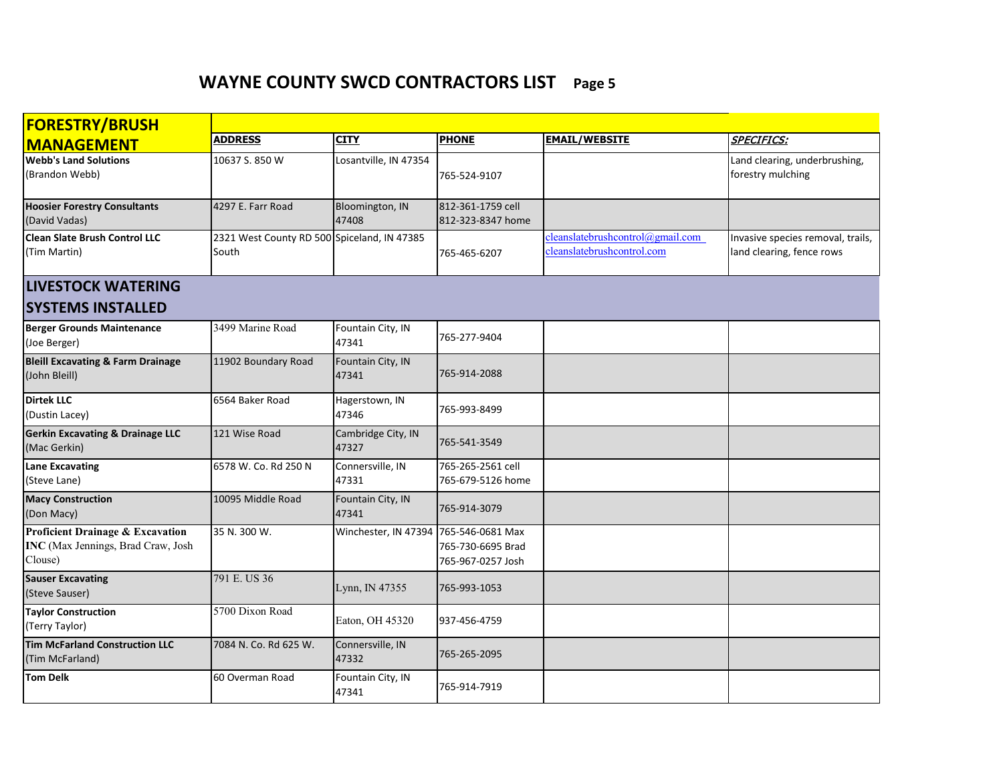| <b>FORESTRY/BRUSH</b>                                                                        |                                                      |                                       |                                        |                                                                 |                                                                |
|----------------------------------------------------------------------------------------------|------------------------------------------------------|---------------------------------------|----------------------------------------|-----------------------------------------------------------------|----------------------------------------------------------------|
| <b>MANAGEMENT</b>                                                                            | <b>ADDRESS</b>                                       | <b>CITY</b>                           | <b>PHONE</b>                           | <b>EMAIL/WEBSITE</b>                                            | <b>SPECIFICS:</b>                                              |
| <b>Webb's Land Solutions</b><br>(Brandon Webb)                                               | 10637 S. 850 W                                       | Losantville, IN 47354                 | 765-524-9107                           |                                                                 | Land clearing, underbrushing,<br>forestry mulching             |
| <b>Hoosier Forestry Consultants</b><br>(David Vadas)                                         | 4297 E. Farr Road                                    | Bloomington, IN<br>47408              | 812-361-1759 cell<br>812-323-8347 home |                                                                 |                                                                |
| <b>Clean Slate Brush Control LLC</b><br>(Tim Martin)                                         | 2321 West County RD 500 Spiceland, IN 47385<br>South |                                       | 765-465-6207                           | cleanlate brush control@gmail.com<br>cleanslatebrushcontrol.com | Invasive species removal, trails,<br>land clearing, fence rows |
| <b>LIVESTOCK WATERING</b>                                                                    |                                                      |                                       |                                        |                                                                 |                                                                |
| <b>SYSTEMS INSTALLED</b>                                                                     |                                                      |                                       |                                        |                                                                 |                                                                |
| <b>Berger Grounds Maintenance</b><br>(Joe Berger)                                            | 3499 Marine Road                                     | Fountain City, IN<br>47341            | 765-277-9404                           |                                                                 |                                                                |
| <b>Bleill Excavating &amp; Farm Drainage</b><br>(John Bleill)                                | 11902 Boundary Road                                  | Fountain City, IN<br>47341            | 765-914-2088                           |                                                                 |                                                                |
| <b>Dirtek LLC</b><br>(Dustin Lacey)                                                          | 6564 Baker Road                                      | Hagerstown, IN<br>47346               | 765-993-8499                           |                                                                 |                                                                |
| <b>Gerkin Excavating &amp; Drainage LLC</b><br>(Mac Gerkin)                                  | 121 Wise Road                                        | Cambridge City, IN<br>47327           | 765-541-3549                           |                                                                 |                                                                |
| Lane Excavating<br>(Steve Lane)                                                              | 6578 W. Co. Rd 250 N                                 | Connersville, IN<br>47331             | 765-265-2561 cell<br>765-679-5126 home |                                                                 |                                                                |
| <b>Macy Construction</b><br>(Don Macy)                                                       | 10095 Middle Road                                    | Fountain City, IN<br>47341            | 765-914-3079                           |                                                                 |                                                                |
| <b>Proficient Drainage &amp; Excavation</b><br>INC (Max Jennings, Brad Craw, Josh<br>Clouse) | 35 N. 300 W.                                         | Winchester, IN 47394 765-546-0681 Max | 765-730-6695 Brad<br>765-967-0257 Josh |                                                                 |                                                                |
| <b>Sauser Excavating</b><br>(Steve Sauser)                                                   | 791 E. US 36                                         | Lynn, IN 47355                        | 765-993-1053                           |                                                                 |                                                                |
| <b>Taylor Construction</b><br>(Terry Taylor)                                                 | 5700 Dixon Road                                      | Eaton, OH 45320                       | 937-456-4759                           |                                                                 |                                                                |
| <b>Tim McFarland Construction LLC</b><br>(Tim McFarland)                                     | 7084 N. Co. Rd 625 W.                                | Connersville, IN<br>47332             | 765-265-2095                           |                                                                 |                                                                |
| <b>Tom Delk</b>                                                                              | 60 Overman Road                                      | Fountain City, IN<br>47341            | 765-914-7919                           |                                                                 |                                                                |